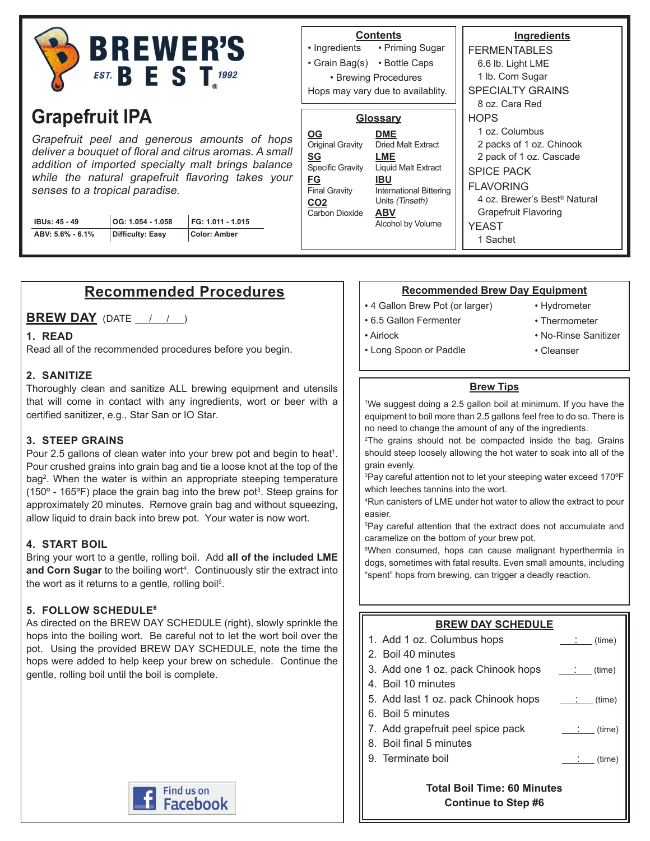

# **Grapefruit IPA**

Grapefruit peel and generous amounts of hops deliver a bouquet of floral and citrus aromas. A small addition of imported specialty malt brings balance while the natural grapefruit flavoring takes your senses to a tropical paradise.

| <b>IBUs: 45 - 49</b> | $ OG: 1.054 - 1.058$ | FG: 1.011 - 1.015 |
|----------------------|----------------------|-------------------|
| ABV: 5.6% - 6.1%     | Difficulty: Easy     | Color: Amber      |

# **Recommended Procedures**

**BREW DAY** (DATE / / )

### **1. READ**

Read all of the recommended procedures before you begin.

### **2. SANITIZE**

Thoroughly clean and sanitize ALL brewing equipment and utensils that will come in contact with any ingredients, wort or beer with a certified sanitizer, e.g., Star San or IO Star.

### **3. STEEP GRAINS**

Pour 2.5 gallons of clean water into your brew pot and begin to heat<sup>1</sup>. Pour crushed grains into grain bag and tie a loose knot at the top of the bag2 . When the water is within an appropriate steeping temperature (150 $^{\circ}$  - 165 $^{\circ}$ F) place the grain bag into the brew pot<sup>3</sup>. Steep grains for approximately 20 minutes. Remove grain bag and without squeezing, allow liquid to drain back into brew pot. Your water is now wort.

### **4. START BOIL**

Bring your wort to a gentle, rolling boil. Add **all of the included LME**  and Corn Sugar to the boiling wort<sup>4</sup>. Continuously stir the extract into the wort as it returns to a gentle, rolling boil<sup>5</sup>.

### **5. FOLLOW SCHEDULE6**

As directed on the BREW DAY SCHEDULE (right), slowly sprinkle the hops into the boiling wort. Be careful not to let the wort boil over the pot. Using the provided BREW DAY SCHEDULE, note the time the hops were added to help keep your brew on schedule. Continue the gentle, rolling boil until the boil is complete.



# **Contents**

• Priming Sugar • Grain Bag(s) • Bottle Caps • Ingredients • Brewing Procedures

Hops may vary due to availablity.

# **Glossary**

**OG**

**SG**

**FG**

**DME** Dried Malt Extract **LME** Liquid Malt Extract **IBU** International Bittering Units (Tinseth) **ABV** Alcohol by Volume Original Gravity Specific Gravity Final Gravity **CO2** Carbon Dioxide

### **Ingredients** FERMENTABLES 6.6 lb. Light LME 1 lb. Corn Sugar SPECIALTY GRAINS 8 oz. Cara Red **HOPS** 1 oz. Columbus 2 packs of 1 oz. Chinook 2 pack of 1 oz. Cascade SPICE PACK FLAVORING 4 oz. Brewer's Best® Natural Grapefruit Flavoring YEAST 1 Sachet

### **Recommended Brew Day Equipment**

- 4 Gallon Brew Pot (or larger)
- 6.5 Gallon Fermenter

• Airlock

- 
- Hydrometer • Thermometer
- No-Rinse Sanitizer
- Long Spoon or Paddle
- Cleanser

### **Brew Tips**

1 We suggest doing a 2.5 gallon boil at minimum. If you have the equipment to boil more than 2.5 gallons feel free to do so. There is no need to change the amount of any of the ingredients.

<sup>2</sup>The grains should not be compacted inside the bag. Grains should steep loosely allowing the hot water to soak into all of the grain evenly.

3 Pay careful attention not to let your steeping water exceed 170ºF which leeches tannins into the wort.

4 Run canisters of LME under hot water to allow the extract to pour easier.

5 Pay careful attention that the extract does not accumulate and caramelize on the bottom of your brew pot.

6 When consumed, hops can cause malignant hyperthermia in dogs, sometimes with fatal results. Even small amounts, including "spent" hops from brewing, can trigger a deadly reaction.

### **BREW DAY SCHEDULE**

| 1. Add 1 oz. Columbus hops          | (time)                       |
|-------------------------------------|------------------------------|
| 2. Boil 40 minutes                  |                              |
| 3. Add one 1 oz. pack Chinook hops  | $:$ (time)                   |
| 4. Boil 10 minutes                  |                              |
| 5. Add last 1 oz. pack Chinook hops | $\frac{\cdot}{\cdot}$ (time) |
| 6. Boil 5 minutes                   |                              |
| 7. Add grapefruit peel spice pack   | $:$ (time)                   |
| 8. Boil final 5 minutes             |                              |
| 9. Terminate boil                   | (time)                       |
|                                     |                              |

**Total Boil Time: 60 Minutes Continue to Step #6**